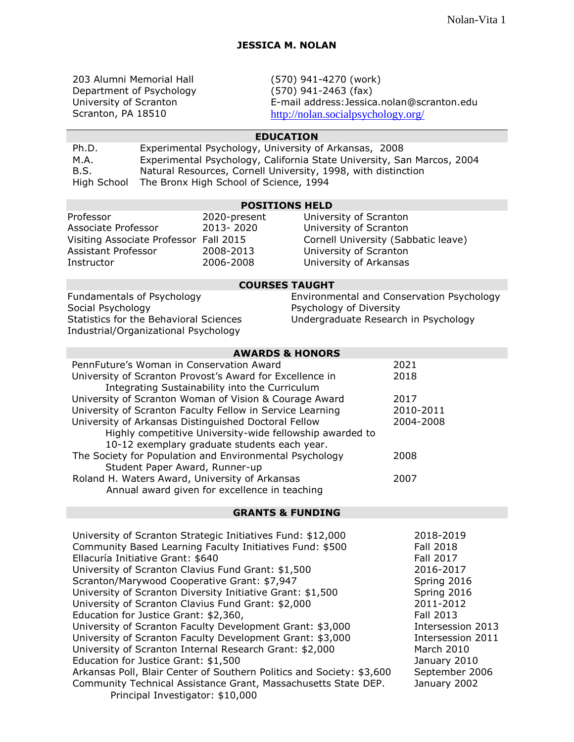203 Alumni Memorial Hall Department of Psychology University of Scranton Scranton, PA 18510

(570) 941-4270 (work) (570) 941-2463 (fax) E-mail address:Jessica.nolan@scranton.edu <http://nolan.socialpsychology.org/>

# **EDUCATION**

| Ph.D.       | Experimental Psychology, University of Arkansas, 2008                  |
|-------------|------------------------------------------------------------------------|
| M.A.        | Experimental Psychology, California State University, San Marcos, 2004 |
| B.S.        | Natural Resources, Cornell University, 1998, with distinction          |
| High School | The Bronx High School of Science, 1994                                 |

## **POSITIONS HELD**

| Professor                              | 2020-present | University of Scranton              |
|----------------------------------------|--------------|-------------------------------------|
| Associate Professor                    | 2013-2020    | University of Scranton              |
| Visiting Associate Professor Fall 2015 |              | Cornell University (Sabbatic leave) |
| Assistant Professor                    | 2008-2013    | University of Scranton              |
| Instructor                             | 2006-2008    | University of Arkansas              |

## **COURSES TAUGHT**

Fundamentals of Psychology Social Psychology Statistics for the Behavioral Sciences Industrial/Organizational Psychology

## Environmental and Conservation Psychology Psychology of Diversity Undergraduate Research in Psychology

| <b>AWARDS &amp; HONORS</b>                                |           |
|-----------------------------------------------------------|-----------|
| PennFuture's Woman in Conservation Award                  | 2021      |
| University of Scranton Provost's Award for Excellence in  | 2018      |
| Integrating Sustainability into the Curriculum            |           |
| University of Scranton Woman of Vision & Courage Award    | 2017      |
| University of Scranton Faculty Fellow in Service Learning | 2010-2011 |
| University of Arkansas Distinguished Doctoral Fellow      | 2004-2008 |
| Highly competitive University-wide fellowship awarded to  |           |
| 10-12 exemplary graduate students each year.              |           |
| The Society for Population and Environmental Psychology   | 2008      |
| Student Paper Award, Runner-up                            |           |
| Roland H. Waters Award, University of Arkansas            | 2007      |
| Annual award given for excellence in teaching             |           |

### **GRANTS & FUNDING**

| University of Scranton Strategic Initiatives Fund: \$12,000           | 2018-2019         |
|-----------------------------------------------------------------------|-------------------|
| Community Based Learning Faculty Initiatives Fund: \$500              | Fall 2018         |
| Ellacuría Initiative Grant: \$640                                     | <b>Fall 2017</b>  |
| University of Scranton Clavius Fund Grant: \$1,500                    | 2016-2017         |
| Scranton/Marywood Cooperative Grant: \$7,947                          | Spring 2016       |
| University of Scranton Diversity Initiative Grant: \$1,500            | Spring 2016       |
| University of Scranton Clavius Fund Grant: \$2,000                    | 2011-2012         |
| Education for Justice Grant: \$2,360,                                 | Fall 2013         |
| University of Scranton Faculty Development Grant: \$3,000             | Intersession 2013 |
| University of Scranton Faculty Development Grant: \$3,000             | Intersession 2011 |
| University of Scranton Internal Research Grant: \$2,000               | March 2010        |
| Education for Justice Grant: \$1,500                                  | January 2010      |
| Arkansas Poll, Blair Center of Southern Politics and Society: \$3,600 | September 2006    |
| Community Technical Assistance Grant, Massachusetts State DEP.        | January 2002      |
| Principal Investigator: \$10,000                                      |                   |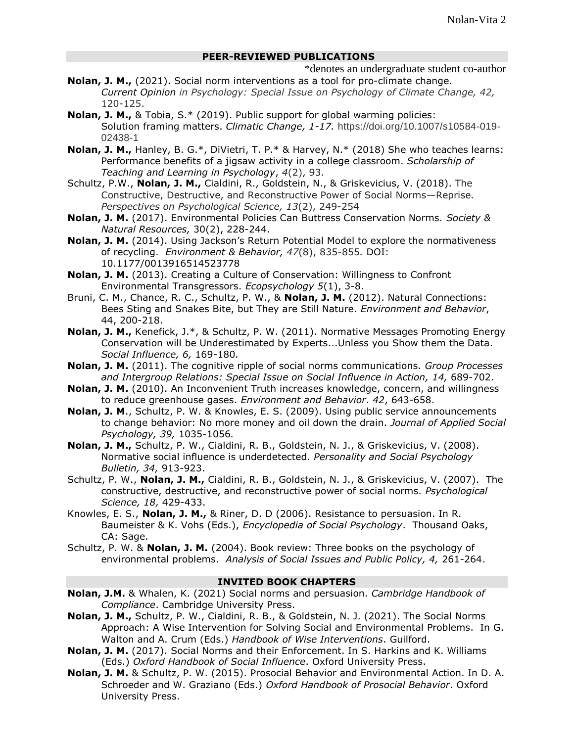## **PEER-REVIEWED PUBLICATIONS**

\*denotes an undergraduate student co-author

- **Nolan, J. M.,** (2021). Social norm interventions as a tool for pro-climate change. *Current Opinion in Psychology: Special Issue on Psychology of Climate Change, 42,* 120-125.
- **Nolan, J. M.,** & Tobia, S.\* (2019). Public support for global warming policies: Solution framing matters. *Climatic Change, 1-17.* https://doi.org/10.1007/s10584-019- 02438-1
- **Nolan, J. M.,** Hanley, B. G.\*, DiVietri, T. P.\* & Harvey, N.\* (2018) She who teaches learns: Performance benefits of a jigsaw activity in a college classroom. *Scholarship of Teaching and Learning in Psychology*, *4*(2), 93.
- Schultz, P.W., **Nolan, J. M.,** Cialdini, R., Goldstein, N., & Griskevicius, V. (2018). The Constructive, Destructive, and Reconstructive Power of Social Norms—Reprise. *Perspectives on Psychological Science, 13*(2), 249-254
- **Nolan, J. M.** (2017). Environmental Policies Can Buttress Conservation Norms. *Society & Natural Resources,* 30(2), 228-244.
- **Nolan, J. M.** (2014). Using Jackson's Return Potential Model to explore the normativeness of recycling. *Environment & Behavior, 47*(8), 835-855*.* DOI: 10.1177/0013916514523778
- **Nolan, J. M.** (2013). Creating a Culture of Conservation: Willingness to Confront Environmental Transgressors. *Ecopsychology 5*(1), 3-8.
- Bruni, C. M., Chance, R. C., Schultz, P. W., & **Nolan, J. M.** (2012). Natural Connections: Bees Sting and Snakes Bite, but They are Still Nature. *Environment and Behavior*, 44, 200-218.
- **Nolan, J. M.,** Kenefick, J.\*, & Schultz, P. W. (2011). Normative Messages Promoting Energy Conservation will be Underestimated by Experts...Unless you Show them the Data. *Social Influence, 6,* 169-180*.*
- **Nolan, J. M.** (2011). The cognitive ripple of social norms communications. *Group Processes and Intergroup Relations: Special Issue on Social Influence in Action, 14,* 689-702.
- **Nolan, J. M.** (2010). An Inconvenient Truth increases knowledge, concern, and willingness to reduce greenhouse gases. *Environment and Behavior*. *42*, 643-658.
- **Nolan, J. M**., Schultz, P. W. & Knowles, E. S. (2009). Using public service announcements to change behavior: No more money and oil down the drain. *Journal of Applied Social Psychology, 39,* 1035-1056*.*
- **Nolan, J. M.,** Schultz, P. W., Cialdini, R. B., Goldstein, N. J., & Griskevicius, V. (2008). Normative social influence is underdetected. *Personality and Social Psychology Bulletin, 34,* 913-923.
- Schultz, P. W., **Nolan, J. M.,** Cialdini, R. B., Goldstein, N. J., & Griskevicius, V. (2007). The constructive, destructive, and reconstructive power of social norms. *Psychological Science, 18,* 429-433.
- Knowles, E. S., **Nolan, J. M.,** & Riner, D. D (2006). Resistance to persuasion. In R. Baumeister & K. Vohs (Eds.), *Encyclopedia of Social Psychology*. Thousand Oaks, CA: Sage.
- Schultz, P. W. & **Nolan, J. M.** (2004). Book review: Three books on the psychology of environmental problems. *Analysis of Social Issues and Public Policy, 4,* 261-264.

## **INVITED BOOK CHAPTERS**

- **Nolan, J.M.** & Whalen, K. (2021) Social norms and persuasion. *Cambridge Handbook of Compliance*. Cambridge University Press.
- **Nolan, J. M.,** Schultz, P. W., Cialdini, R. B., & Goldstein, N. J. (2021). The Social Norms Approach: A Wise Intervention for Solving Social and Environmental Problems. In G. Walton and A. Crum (Eds.) *Handbook of Wise Interventions*. Guilford.
- **Nolan, J. M.** (2017). Social Norms and their Enforcement. In S. Harkins and K. Williams (Eds.) *Oxford Handbook of Social Influence*. Oxford University Press.
- **Nolan, J. M.** & Schultz, P. W. (2015). Prosocial Behavior and Environmental Action. In D. A. Schroeder and W. Graziano (Eds.) *Oxford Handbook of Prosocial Behavior*. Oxford University Press.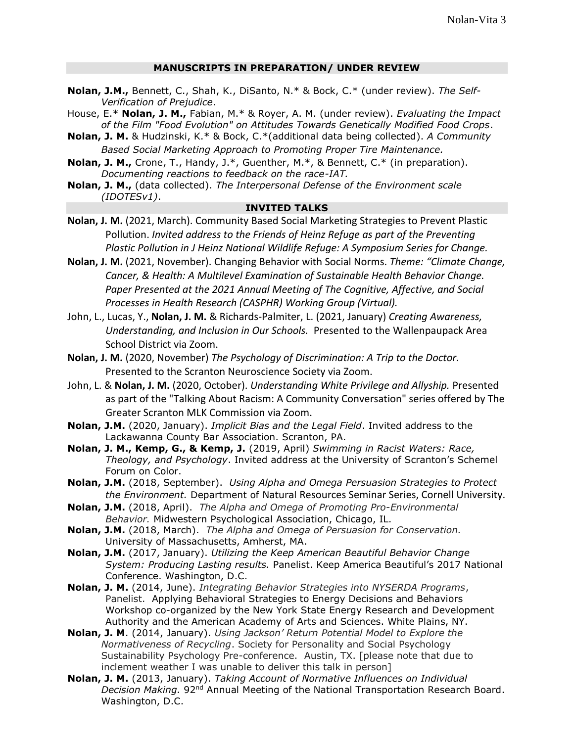## **MANUSCRIPTS IN PREPARATION/ UNDER REVIEW**

- **Nolan, J.M.,** Bennett, C., Shah, K., DiSanto, N.\* & Bock, C.\* (under review). *The Self-Verification of Prejudice*.
- House, E.\* **Nolan, J. M.,** Fabian, M.\* & Royer, A. M. (under review). *Evaluating the Impact of the Film "Food Evolution" on Attitudes Towards Genetically Modified Food Crops*.
- **Nolan, J. M.** & Hudzinski, K.\* & Bock, C.\*(additional data being collected). *A Community Based Social Marketing Approach to Promoting Proper Tire Maintenance.*
- **Nolan, J. M.,** Crone, T., Handy, J.\*, Guenther, M.\*, & Bennett, C.\* (in preparation). *Documenting reactions to feedback on the race-IAT.*
- **Nolan, J. M.,** (data collected). *The Interpersonal Defense of the Environment scale (IDOTESv1)*.

### **INVITED TALKS**

- **Nolan, J. M.** (2021, March). Community Based Social Marketing Strategies to Prevent Plastic Pollution. *Invited address to the Friends of Heinz Refuge as part of the Preventing Plastic Pollution in J Heinz National Wildlife Refuge: A Symposium Series for Change.*
- **Nolan, J. M.** (2021, November). Changing Behavior with Social Norms. *Theme: "Climate Change, Cancer, & Health: A Multilevel Examination of Sustainable Health Behavior Change. Paper Presented at the 2021 Annual Meeting of The Cognitive, Affective, and Social Processes in Health Research (CASPHR) Working Group (Virtual).*
- John, L., Lucas, Y., **Nolan, J. M.** & Richards-Palmiter, L. (2021, January) *Creating Awareness, Understanding, and Inclusion in Our Schools.* Presented to the Wallenpaupack Area School District via Zoom.
- **Nolan, J. M.** (2020, November) *The Psychology of Discrimination: A Trip to the Doctor.* Presented to the Scranton Neuroscience Society via Zoom.
- John, L. & **Nolan, J. M.** (2020, October). *Understanding White Privilege and Allyship.* Presented as part of the "Talking About Racism: A Community Conversation" series offered by The Greater Scranton MLK Commission via Zoom.
- **Nolan, J.M.** (2020, January). *Implicit Bias and the Legal Field*. Invited address to the Lackawanna County Bar Association. Scranton, PA.
- **Nolan, J. M., Kemp, G., & Kemp, J.** (2019, April) *Swimming in Racist Waters: Race, Theology, and Psychology*. Invited address at the University of Scranton's Schemel Forum on Color.
- **Nolan, J.M.** (2018, September). *Using Alpha and Omega Persuasion Strategies to Protect the Environment.* Department of Natural Resources Seminar Series, Cornell University.
- **Nolan, J.M.** (2018, April). *The Alpha and Omega of Promoting Pro-Environmental Behavior.* Midwestern Psychological Association, Chicago, IL.
- **Nolan, J.M.** (2018, March). *The Alpha and Omega of Persuasion for Conservation.*  University of Massachusetts, Amherst, MA.
- **Nolan, J.M.** (2017, January). *Utilizing the Keep American Beautiful Behavior Change System: Producing Lasting results.* Panelist. Keep America Beautiful's 2017 National Conference. Washington, D.C.
- **Nolan, J. M.** (2014, June). *Integrating Behavior Strategies into NYSERDA Programs*, Panelist. Applying Behavioral Strategies to Energy Decisions and Behaviors Workshop co-organized by the New York State Energy Research and Development Authority and the American Academy of Arts and Sciences. White Plains, NY.
- **Nolan, J. M**. (2014, January). *Using Jackson' Return Potential Model to Explore the Normativeness of Recycling*. Society for Personality and Social Psychology Sustainability Psychology Pre-conference. Austin, TX. [please note that due to inclement weather I was unable to deliver this talk in person]
- **Nolan, J. M.** (2013, January). *Taking Account of Normative Influences on Individual Decision Making.* 92nd Annual Meeting of the National Transportation Research Board. Washington, D.C.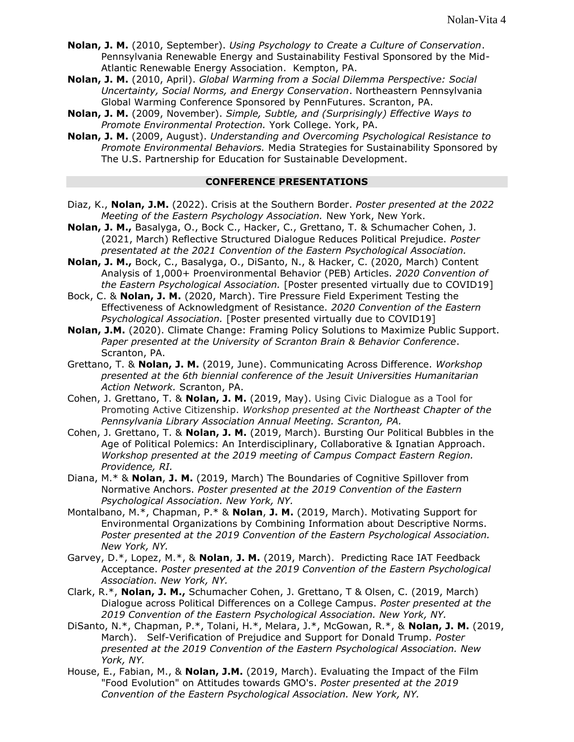- **Nolan, J. M.** (2010, September). *Using Psychology to Create a Culture of Conservation*. Pennsylvania Renewable Energy and Sustainability Festival Sponsored by the Mid-Atlantic Renewable Energy Association. Kempton, PA.
- **Nolan, J. M.** (2010, April). *Global Warming from a Social Dilemma Perspective: Social Uncertainty, Social Norms, and Energy Conservation*. Northeastern Pennsylvania Global Warming Conference Sponsored by PennFutures. Scranton, PA.
- **Nolan, J. M.** (2009, November). *Simple, Subtle, and (Surprisingly) Effective Ways to Promote Environmental Protection.* York College. York, PA.
- **Nolan, J. M.** (2009, August). *Understanding and Overcoming Psychological Resistance to Promote Environmental Behaviors.* Media Strategies for Sustainability Sponsored by The U.S. Partnership for Education for Sustainable Development.

#### **CONFERENCE PRESENTATIONS**

- Diaz, K., **Nolan, J.M.** (2022). Crisis at the Southern Border. *Poster presented at the 2022 Meeting of the Eastern Psychology Association.* New York, New York.
- **Nolan, J. M.,** Basalyga, O., Bock C., Hacker, C., Grettano, T. & Schumacher Cohen, J. (2021, March) Reflective Structured Dialogue Reduces Political Prejudice. *Poster presentated at the 2021 Convention of the Eastern Psychological Association.*
- **Nolan, J. M.,** Bock, C., Basalyga, O., DiSanto, N., & Hacker, C. (2020, March) Content Analysis of 1,000+ Proenvironmental Behavior (PEB) Articles. *2020 Convention of the Eastern Psychological Association.* [Poster presented virtually due to COVID19]
- Bock, C. & **Nolan, J. M.** (2020, March). Tire Pressure Field Experiment Testing the Effectiveness of Acknowledgment of Resistance. *2020 Convention of the Eastern Psychological Association.* [Poster presented virtually due to COVID19]
- **Nolan, J.M.** (2020). Climate Change: Framing Policy Solutions to Maximize Public Support. *Paper presented at the University of Scranton Brain & Behavior Conference*. Scranton, PA.
- Grettano, T. & **Nolan, J. M.** (2019, June). Communicating Across Difference. *Workshop presented at the 6th biennial conference of the Jesuit Universities Humanitarian Action Network.* Scranton, PA.
- Cohen, J. Grettano, T. & **Nolan, J. M.** (2019, May). Using Civic Dialogue as a Tool for Promoting Active Citizenship. *Workshop presented at the Northeast Chapter of the Pennsylvania Library Association Annual Meeting. Scranton, PA.*
- Cohen, J. Grettano, T. & **Nolan, J. M.** (2019, March). Bursting Our Political Bubbles in the Age of Political Polemics: An Interdisciplinary, Collaborative & Ignatian Approach. *Workshop presented at the 2019 meeting of Campus Compact Eastern Region. Providence, RI.*
- Diana, M.\* & **Nolan**, **J. M.** (2019, March) The Boundaries of Cognitive Spillover from Normative Anchors. *Poster presented at the 2019 Convention of the Eastern Psychological Association. New York, NY.*
- Montalbano, M.\*, Chapman, P.\* & **Nolan**, **J. M.** (2019, March). Motivating Support for Environmental Organizations by Combining Information about Descriptive Norms. *Poster presented at the 2019 Convention of the Eastern Psychological Association. New York, NY.*
- Garvey, D.\*, Lopez, M.\*, & **Nolan**, **J. M.** (2019, March). Predicting Race IAT Feedback Acceptance. *Poster presented at the 2019 Convention of the Eastern Psychological Association. New York, NY.*
- Clark, R.\*, **Nolan, J. M.,** Schumacher Cohen, J. Grettano, T & Olsen, C. (2019, March) Dialogue across Political Differences on a College Campus. *Poster presented at the 2019 Convention of the Eastern Psychological Association. New York, NY.*
- DiSanto, N.\*, Chapman, P.\*, Tolani, H.\*, Melara, J.\*, McGowan, R.\*, & **Nolan, J. M.** (2019, March). Self-Verification of Prejudice and Support for Donald Trump. *Poster presented at the 2019 Convention of the Eastern Psychological Association. New York, NY.*
- House, E., Fabian, M., & **Nolan, J.M.** (2019, March). Evaluating the Impact of the Film "Food Evolution" on Attitudes towards GMO's. *Poster presented at the 2019 Convention of the Eastern Psychological Association. New York, NY.*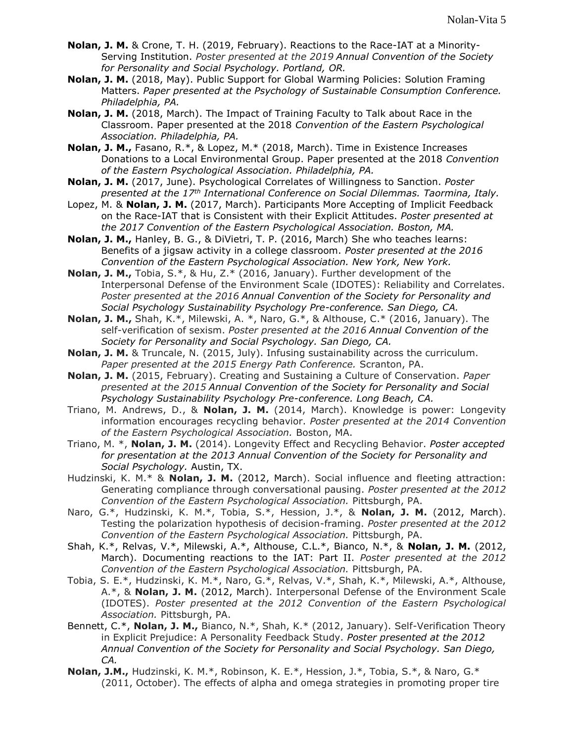- **Nolan, J. M.** & Crone, T. H. (2019, February). Reactions to the Race-IAT at a Minority-Serving Institution. *Poster presented at the 2019 Annual Convention of the Society for Personality and Social Psychology. Portland, OR.*
- **Nolan, J. M.** (2018, May). Public Support for Global Warming Policies: Solution Framing Matters. *Paper presented at the Psychology of Sustainable Consumption Conference. Philadelphia, PA.*
- **Nolan, J. M.** (2018, March). The Impact of Training Faculty to Talk about Race in the Classroom. Paper presented at the 2018 *Convention of the Eastern Psychological Association. Philadelphia, PA.*
- **Nolan, J. M.,** Fasano, R.\*, & Lopez, M.\* (2018, March). Time in Existence Increases Donations to a Local Environmental Group. Paper presented at the 2018 *Convention of the Eastern Psychological Association. Philadelphia, PA.*
- **Nolan, J. M.** (2017, June). Psychological Correlates of Willingness to Sanction. *Poster presented at the 17th International Conference on Social Dilemmas. Taormina, Italy.*
- Lopez, M. & **Nolan, J. M.** (2017, March). Participants More Accepting of Implicit Feedback on the Race-IAT that is Consistent with their Explicit Attitudes. *Poster presented at the 2017 Convention of the Eastern Psychological Association. Boston, MA.*
- **Nolan, J. M.,** Hanley, B. G., & DiVietri, T. P. (2016, March) She who teaches learns: Benefits of a jigsaw activity in a college classroom. *Poster presented at the 2016 Convention of the Eastern Psychological Association. New York, New York.*
- **Nolan, J. M.,** Tobia, S.\*, & Hu, Z.\* (2016, January). Further development of the Interpersonal Defense of the Environment Scale (IDOTES): Reliability and Correlates. *Poster presented at the 2016 Annual Convention of the Society for Personality and Social Psychology Sustainability Psychology Pre-conference. San Diego, CA.*
- **Nolan, J. M.,** Shah, K.\*, Milewski, A. \*, Naro, G.\*, & Althouse, C.\* (2016, January). The self-verification of sexism. *Poster presented at the 2016 Annual Convention of the Society for Personality and Social Psychology. San Diego, CA.*
- **Nolan, J. M.** & Truncale, N. (2015, July). Infusing sustainability across the curriculum. *Paper presented at the 2015 Energy Path Conference.* Scranton, PA.
- **Nolan, J. M.** (2015, February). Creating and Sustaining a Culture of Conservation. *Paper presented at the 2015 Annual Convention of the Society for Personality and Social Psychology Sustainability Psychology Pre-conference. Long Beach, CA.*
- Triano, M. Andrews, D., & **Nolan, J. M.** (2014, March). Knowledge is power: Longevity information encourages recycling behavior. *Poster presented at the 2014 Convention of the Eastern Psychological Association.* Boston, MA.
- Triano, M. \*, **Nolan, J. M.** (2014). Longevity Effect and Recycling Behavior. *Poster accepted for presentation at the 2013 Annual Convention of the Society for Personality and Social Psychology.* Austin, TX.
- Hudzinski, K. M.\* & **Nolan, J. M.** (2012, March). Social influence and fleeting attraction: Generating compliance through conversational pausing. *Poster presented at the 2012 Convention of the Eastern Psychological Association.* Pittsburgh, PA.
- Naro, G.\*, Hudzinski, K. M.\*, Tobia, S.\*, Hession, J.\*, & **Nolan, J. M.** (2012, March). Testing the polarization hypothesis of decision-framing. *Poster presented at the 2012 Convention of the Eastern Psychological Association.* Pittsburgh, PA.
- Shah, K.\*, Relvas, V.\*, Milewski, A.\*, Althouse, C.L.\*, Bianco, N.\*, & **Nolan, J. M.** (2012, March). Documenting reactions to the IAT: Part II. *Poster presented at the 2012 Convention of the Eastern Psychological Association.* Pittsburgh, PA.
- Tobia, S. E.\*, Hudzinski, K. M.\*, Naro, G.\*, Relvas, V.\*, Shah, K.\*, Milewski, A.\*, Althouse, A.\*, & **Nolan, J. M.** (2012, March). Interpersonal Defense of the Environment Scale (IDOTES). *Poster presented at the 2012 Convention of the Eastern Psychological Association.* Pittsburgh, PA.
- Bennett, C.\*, **Nolan, J. M.,** Bianco, N.\*, Shah, K.\* (2012, January). Self-Verification Theory in Explicit Prejudice: A Personality Feedback Study. *Poster presented at the 2012 Annual Convention of the Society for Personality and Social Psychology. San Diego, CA.*
- **Nolan, J.M.,** Hudzinski, K. M.\*, Robinson, K. E.\*, Hession, J.\*, Tobia, S.\*, & Naro, G.\* (2011, October). The effects of alpha and omega strategies in promoting proper tire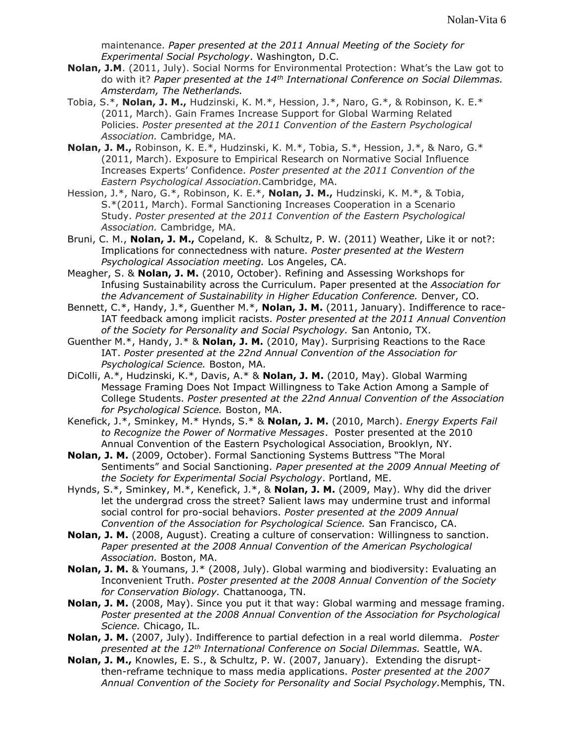maintenance. *Paper presented at the 2011 Annual Meeting of the Society for Experimental Social Psychology*. Washington, D.C.

- **Nolan, J.M**. (2011, July). Social Norms for Environmental Protection: What's the Law got to do with it? *Paper presented at the 14th International Conference on Social Dilemmas. Amsterdam, The Netherlands.*
- Tobia, S.\*, **Nolan, J. M.,** Hudzinski, K. M.\*, Hession, J.\*, Naro, G.\*, & Robinson, K. E.\* (2011, March). Gain Frames Increase Support for Global Warming Related Policies. *Poster presented at the 2011 Convention of the Eastern Psychological Association.* Cambridge, MA.
- **Nolan, J. M.,** Robinson, K. E.\*, Hudzinski, K. M.\*, Tobia, S.\*, Hession, J.\*, & Naro, G.\* (2011, March). Exposure to Empirical Research on Normative Social Influence Increases Experts' Confidence. *Poster presented at the 2011 Convention of the Eastern Psychological Association.*Cambridge, MA.
- Hession, J.\*, Naro, G.\*, Robinson, K. E.\*, **Nolan, J. M.,** Hudzinski, K. M.\*, & Tobia, S.\*(2011, March). Formal Sanctioning Increases Cooperation in a Scenario Study. *Poster presented at the 2011 Convention of the Eastern Psychological Association.* Cambridge, MA.
- Bruni, C. M., **Nolan, J. M.,** Copeland, K. & Schultz, P. W. (2011) Weather, Like it or not?: Implications for connectedness with nature. *Poster presented at the Western Psychological Association meeting.* Los Angeles, CA.
- Meagher, S. & **Nolan, J. M.** (2010, October). Refining and Assessing Workshops for Infusing Sustainability across the Curriculum. Paper presented at the *Association for the Advancement of Sustainability in Higher Education Conference.* Denver, CO.
- Bennett, C.\*, Handy, J.\*, Guenther M.\*, **Nolan, J. M.** (2011, January). Indifference to race-IAT feedback among implicit racists. *Poster presented at the 2011 Annual Convention of the Society for Personality and Social Psychology.* San Antonio, TX.
- Guenther M.\*, Handy, J.\* & **Nolan, J. M.** (2010, May). Surprising Reactions to the Race IAT. *Poster presented at the 22nd Annual Convention of the Association for Psychological Science.* Boston, MA.
- DiColli, A.\*, Hudzinski, K.\*, Davis, A.\* & **Nolan, J. M.** (2010, May). Global Warming Message Framing Does Not Impact Willingness to Take Action Among a Sample of College Students. *Poster presented at the 22nd Annual Convention of the Association for Psychological Science.* Boston, MA.
- Kenefick, J.\*, Sminkey, M.\* Hynds, S.\* & **Nolan, J. M.** (2010, March). *Energy Experts Fail to Recognize the Power of Normative Messages*. Poster presented at the 2010 Annual Convention of the Eastern Psychological Association, Brooklyn, NY.
- **Nolan, J. M.** (2009, October). Formal Sanctioning Systems Buttress "The Moral Sentiments" and Social Sanctioning. *Paper presented at the 2009 Annual Meeting of the Society for Experimental Social Psychology*. Portland, ME.
- Hynds, S.\*, Sminkey, M.\*, Kenefick, J.\*, & **Nolan, J. M.** (2009, May). Why did the driver let the undergrad cross the street? Salient laws may undermine trust and informal social control for pro-social behaviors. *Poster presented at the 2009 Annual Convention of the Association for Psychological Science.* San Francisco, CA.
- **Nolan, J. M.** (2008, August). Creating a culture of conservation: Willingness to sanction. *Paper presented at the 2008 Annual Convention of the American Psychological Association.* Boston, MA.
- **Nolan, J. M.** & Youmans, J.\* (2008, July). Global warming and biodiversity: Evaluating an Inconvenient Truth. *Poster presented at the 2008 Annual Convention of the Society for Conservation Biology.* Chattanooga, TN.
- **Nolan, J. M.** (2008, May). Since you put it that way: Global warming and message framing. *Poster presented at the 2008 Annual Convention of the Association for Psychological Science.* Chicago, IL.
- **Nolan, J. M.** (2007, July). Indifference to partial defection in a real world dilemma. *Poster presented at the 12th International Conference on Social Dilemmas.* Seattle, WA.
- **Nolan, J. M.,** Knowles, E. S., & Schultz, P. W. (2007, January). Extending the disruptthen-reframe technique to mass media applications. *Poster presented at the 2007 Annual Convention of the Society for Personality and Social Psychology.*Memphis, TN.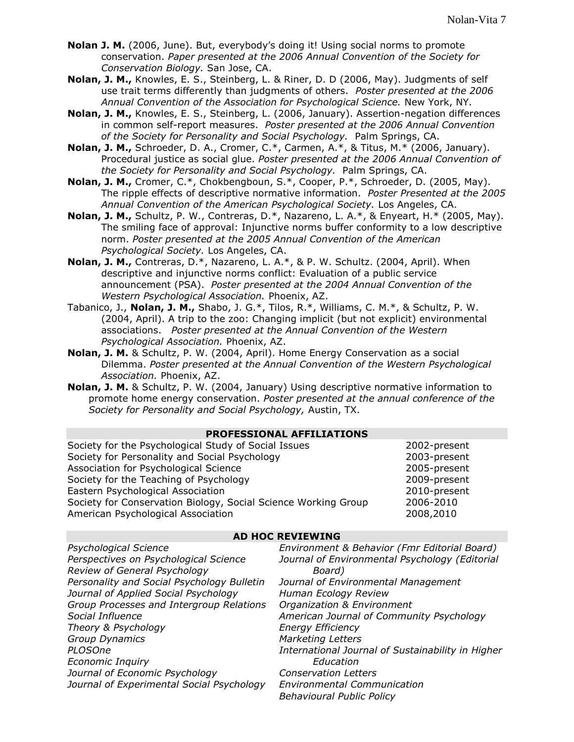- **Nolan J. M.** (2006, June). But, everybody's doing it! Using social norms to promote conservation. *Paper presented at the 2006 Annual Convention of the Society for Conservation Biology.* San Jose, CA.
- **Nolan, J. M.,** Knowles, E. S., Steinberg, L. & Riner, D. D (2006, May). Judgments of self use trait terms differently than judgments of others. *Poster presented at the 2006 Annual Convention of the Association for Psychological Science.* New York, NY.
- **Nolan, J. M.,** Knowles, E. S., Steinberg, L. (2006, January). Assertion-negation differences in common self-report measures. *Poster presented at the 2006 Annual Convention of the Society for Personality and Social Psychology.* Palm Springs, CA.
- **Nolan, J. M.,** Schroeder, D. A., Cromer, C.\*, Carmen, A.\*, & Titus, M.\* (2006, January). Procedural justice as social glue. *Poster presented at the 2006 Annual Convention of the Society for Personality and Social Psychology.* Palm Springs, CA.
- **Nolan, J. M.,** Cromer, C.\*, Chokbengboun, S.\*, Cooper, P.\*, Schroeder, D. (2005, May). The ripple effects of descriptive normative information. *Poster Presented at the 2005 Annual Convention of the American Psychological Society.* Los Angeles, CA.
- **Nolan, J. M.,** Schultz, P. W., Contreras, D.\*, Nazareno, L. A.\*, & Enyeart, H.\* (2005, May). The smiling face of approval: Injunctive norms buffer conformity to a low descriptive norm. *Poster presented at the 2005 Annual Convention of the American Psychological Society.* Los Angeles, CA.
- **Nolan, J. M.,** Contreras, D.\*, Nazareno, L. A.\*, & P. W. Schultz. (2004, April). When descriptive and injunctive norms conflict: Evaluation of a public service announcement (PSA).*Poster presented at the 2004 Annual Convention of the Western Psychological Association.* Phoenix, AZ.
- Tabanico, J., **Nolan, J. M.,** Shabo, J. G.\*, Tilos, R.\*, Williams, C. M.\*, & Schultz, P. W. (2004, April). A trip to the zoo: Changing implicit (but not explicit) environmental associations. *Poster presented at the Annual Convention of the Western Psychological Association.* Phoenix, AZ.
- **Nolan, J. M.** & Schultz, P. W. (2004, April). Home Energy Conservation as a social Dilemma. *Poster presented at the Annual Convention of the Western Psychological Association.* Phoenix, AZ.
- **Nolan, J. M.** & Schultz, P. W. (2004, January) Using descriptive normative information to promote home energy conservation. *Poster presented at the annual conference of the Society for Personality and Social Psychology,* Austin, TX.

| <b>PROFESSIONAL AFFILIATIONS</b> |
|----------------------------------|
|----------------------------------|

| Society for the Psychological Study of Social Issues           | 2002-present |
|----------------------------------------------------------------|--------------|
|                                                                |              |
| Society for Personality and Social Psychology                  | 2003-present |
| Association for Psychological Science                          | 2005-present |
| Society for the Teaching of Psychology                         | 2009-present |
| Eastern Psychological Association                              | 2010-present |
| Society for Conservation Biology, Social Science Working Group | 2006-2010    |
| American Psychological Association                             | 2008,2010    |

#### **AD HOC REVIEWING**

| Psychological Science                      | Environment & Behavior (Fmr Editorial Board)      |
|--------------------------------------------|---------------------------------------------------|
| Perspectives on Psychological Science      | Journal of Environmental Psychology (Editorial    |
| Review of General Psychology               | Board)                                            |
| Personality and Social Psychology Bulletin | Journal of Environmental Management               |
| Journal of Applied Social Psychology       | Human Ecology Review                              |
| Group Processes and Intergroup Relations   | Organization & Environment                        |
| Social Influence                           | American Journal of Community Psychology          |
| Theory & Psychology                        | <b>Energy Efficiency</b>                          |
| Group Dynamics                             | <b>Marketing Letters</b>                          |
| PLOSOne                                    | International Journal of Sustainability in Higher |
| <b>Economic Inquiry</b>                    | Education                                         |
| Journal of Economic Psychology             | <b>Conservation Letters</b>                       |
| Journal of Experimental Social Psychology  | <b>Environmental Communication</b>                |
|                                            | <b>Behavioural Public Policy</b>                  |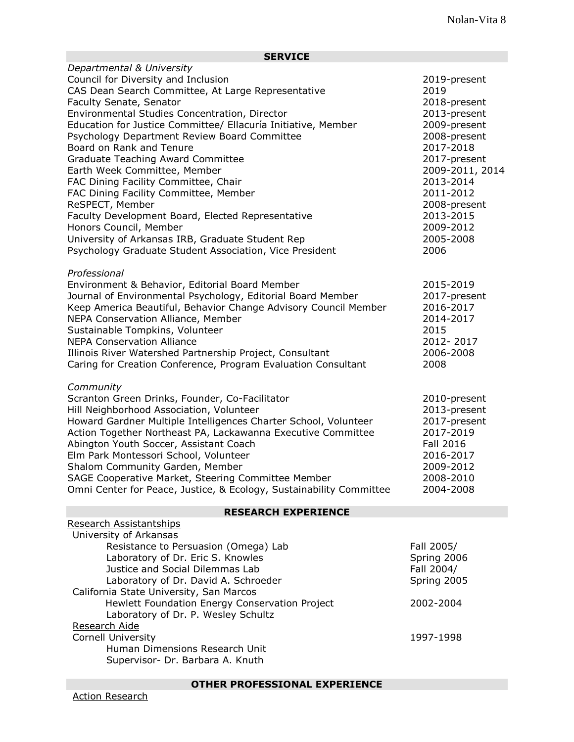## **SERVICE**

| Departmental & University                                           |                  |
|---------------------------------------------------------------------|------------------|
| Council for Diversity and Inclusion                                 | 2019-present     |
| CAS Dean Search Committee, At Large Representative                  | 2019             |
| Faculty Senate, Senator                                             | 2018-present     |
| Environmental Studies Concentration, Director                       | 2013-present     |
| Education for Justice Committee/ Ellacuría Initiative, Member       | 2009-present     |
| Psychology Department Review Board Committee                        | 2008-present     |
| Board on Rank and Tenure                                            | 2017-2018        |
| <b>Graduate Teaching Award Committee</b>                            | 2017-present     |
| Earth Week Committee, Member                                        | 2009-2011, 2014  |
| FAC Dining Facility Committee, Chair                                | 2013-2014        |
| FAC Dining Facility Committee, Member                               | 2011-2012        |
| ReSPECT, Member                                                     | 2008-present     |
| Faculty Development Board, Elected Representative                   | 2013-2015        |
| Honors Council, Member                                              | 2009-2012        |
| University of Arkansas IRB, Graduate Student Rep                    | 2005-2008        |
| Psychology Graduate Student Association, Vice President             | 2006             |
|                                                                     |                  |
| Professional                                                        |                  |
| Environment & Behavior, Editorial Board Member                      | 2015-2019        |
| Journal of Environmental Psychology, Editorial Board Member         | 2017-present     |
| Keep America Beautiful, Behavior Change Advisory Council Member     | 2016-2017        |
| NEPA Conservation Alliance, Member                                  | 2014-2017        |
| Sustainable Tompkins, Volunteer                                     | 2015             |
| <b>NEPA Conservation Alliance</b>                                   | 2012-2017        |
| Illinois River Watershed Partnership Project, Consultant            | 2006-2008        |
| Caring for Creation Conference, Program Evaluation Consultant       | 2008             |
| Community                                                           |                  |
| Scranton Green Drinks, Founder, Co-Facilitator                      | 2010-present     |
| Hill Neighborhood Association, Volunteer                            | 2013-present     |
| Howard Gardner Multiple Intelligences Charter School, Volunteer     | 2017-present     |
| Action Together Northeast PA, Lackawanna Executive Committee        | 2017-2019        |
| Abington Youth Soccer, Assistant Coach                              | <b>Fall 2016</b> |
| Elm Park Montessori School, Volunteer                               | 2016-2017        |
| Shalom Community Garden, Member                                     | 2009-2012        |
| SAGE Cooperative Market, Steering Committee Member                  | 2008-2010        |
| Omni Center for Peace, Justice, & Ecology, Sustainability Committee | 2004-2008        |
| <b>RESEARCH EXPERIENCE</b>                                          |                  |
| Research Assistantships                                             |                  |
| University of Arkansas                                              |                  |
| Resistance to Persuasion (Omega) Lab                                | Fall 2005/       |
| Laboratory of Dr. Eric S. Knowles                                   | Spring 2006      |
| Justice and Social Dilemmas Lab                                     | Fall 2004/       |
| Laboratory of Dr. David A. Schroeder                                | Spring 2005      |
| California State University, San Marcos                             |                  |
| Hewlett Foundation Energy Conservation Project                      | 2002-2004        |
| Laboratory of Dr. P. Wesley Schultz                                 |                  |
| Research Aide                                                       |                  |
| <b>Cornell University</b>                                           | 1997-1998        |

Human Dimensions Research Unit Supervisor- Dr. Barbara A. Knuth

**OTHER PROFESSIONAL EXPERIENCE**